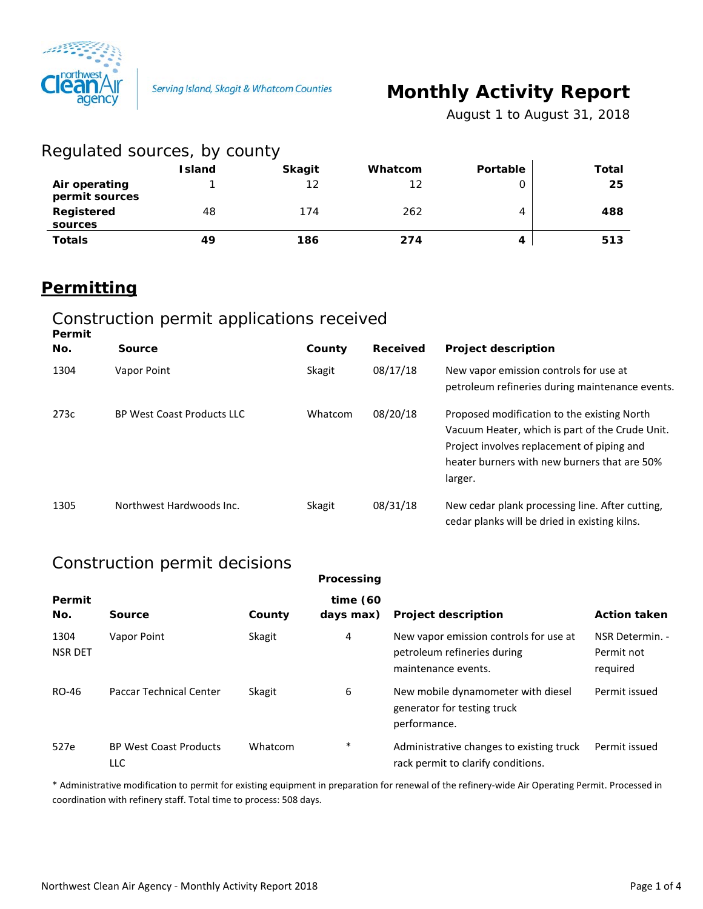

# **Monthly Activity Report**

*August 1 to August 31, 2018*

| Regulated sources, by county    |               |               |         |          |       |
|---------------------------------|---------------|---------------|---------|----------|-------|
|                                 | <b>Island</b> | <b>Skagit</b> | Whatcom | Portable | Total |
| Air operating<br>permit sources |               | 12            | 12      |          | 25    |
| Registered<br>sources           | 48            | 174           | 262     | 4        | 488   |
| <b>Totals</b>                   | 49            | 186           | 274     |          | 513   |

## **Permitting**

#### Construction permit applications received

| Permit<br>No. | <b>Source</b>                     | County  | Received | <b>Project description</b>                                                                                                                                                                              |
|---------------|-----------------------------------|---------|----------|---------------------------------------------------------------------------------------------------------------------------------------------------------------------------------------------------------|
| 1304          | Vapor Point                       | Skagit  | 08/17/18 | New vapor emission controls for use at<br>petroleum refineries during maintenance events.                                                                                                               |
| 273c          | <b>BP West Coast Products LLC</b> | Whatcom | 08/20/18 | Proposed modification to the existing North<br>Vacuum Heater, which is part of the Crude Unit.<br>Project involves replacement of piping and<br>heater burners with new burners that are 50%<br>larger. |
| 1305          | Northwest Hardwoods Inc.          | Skagit  | 08/31/18 | New cedar plank processing line. After cutting,<br>cedar planks will be dried in existing kilns.                                                                                                        |

### Construction permit decisions

|                        |                                      |         | Processing               |                                                                                              |                                           |
|------------------------|--------------------------------------|---------|--------------------------|----------------------------------------------------------------------------------------------|-------------------------------------------|
| Permit<br>No.          | Source                               | County  | time $(60)$<br>days max) | <b>Project description</b>                                                                   | <b>Action taken</b>                       |
| 1304<br><b>NSR DET</b> | Vapor Point                          | Skagit  | 4                        | New vapor emission controls for use at<br>petroleum refineries during<br>maintenance events. | NSR Determin. -<br>Permit not<br>required |
| RO-46                  | <b>Paccar Technical Center</b>       | Skagit  | 6                        | New mobile dynamometer with diesel<br>generator for testing truck<br>performance.            | Permit issued                             |
| 527e                   | <b>BP West Coast Products</b><br>LLC | Whatcom | $\ast$                   | Administrative changes to existing truck<br>rack permit to clarify conditions.               | Permit issued                             |

\* Administrative modification to permit for existing equipment in preparation for renewal of the refinery-wide Air Operating Permit. Processed in coordination with refinery staff. Total time to process: 508 days.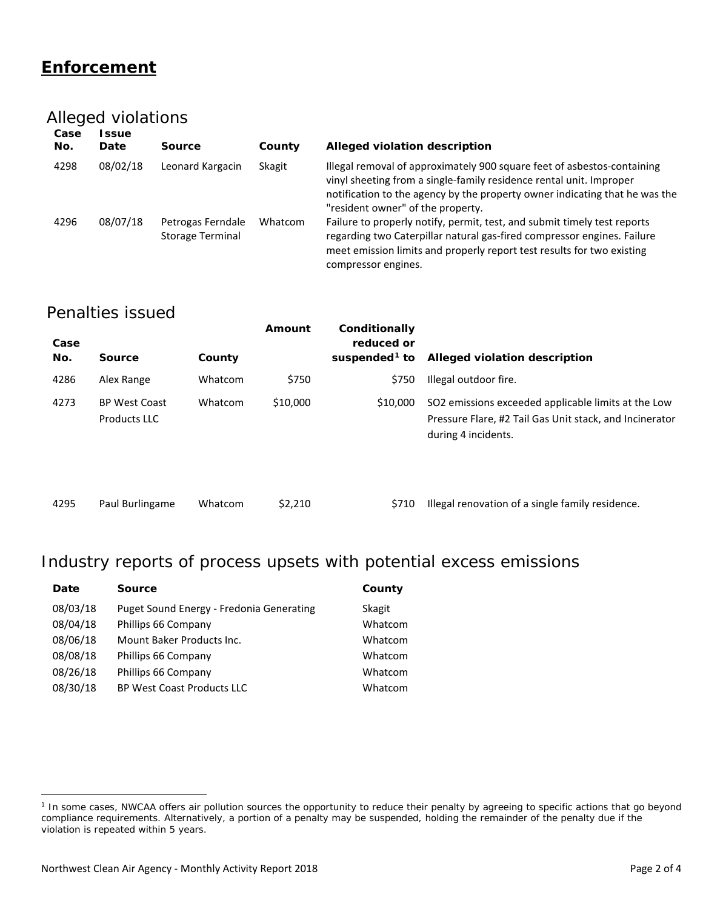### **Enforcement**

#### Alleged violations

| Case<br>No. | l ssue<br>Date | Source                                       | County  | Alleged violation description                                                                                                                                                                                                                                      |
|-------------|----------------|----------------------------------------------|---------|--------------------------------------------------------------------------------------------------------------------------------------------------------------------------------------------------------------------------------------------------------------------|
| 4298        | 08/02/18       | Leonard Kargacin                             | Skagit  | Illegal removal of approximately 900 square feet of asbestos-containing<br>vinyl sheeting from a single-family residence rental unit. Improper<br>notification to the agency by the property owner indicating that he was the<br>"resident owner" of the property. |
| 4296        | 08/07/18       | Petrogas Ferndale<br><b>Storage Terminal</b> | Whatcom | Failure to properly notify, permit, test, and submit timely test reports<br>regarding two Caterpillar natural gas-fired compressor engines. Failure<br>meet emission limits and properly report test results for two existing<br>compressor engines.               |

#### Penalties issued

| Case<br>No. | <b>Source</b>                               | County  | Amount   | Conditionally<br>reduced or<br>suspended <sup>1</sup> to | Alleged violation description                                                                                                         |
|-------------|---------------------------------------------|---------|----------|----------------------------------------------------------|---------------------------------------------------------------------------------------------------------------------------------------|
| 4286        | Alex Range                                  | Whatcom | \$750    | \$750                                                    | Illegal outdoor fire.                                                                                                                 |
| 4273        | <b>BP West Coast</b><br><b>Products LLC</b> | Whatcom | \$10,000 | \$10,000                                                 | SO2 emissions exceeded applicable limits at the Low<br>Pressure Flare, #2 Tail Gas Unit stack, and Incinerator<br>during 4 incidents. |

|  | 4295 | Paul Burlingame | Whatcom | \$2,2 |
|--|------|-----------------|---------|-------|
|--|------|-----------------|---------|-------|

10 **5710** Illegal renovation of a single family residence.

### Industry reports of process upsets with potential excess emissions

| Date     | <b>Source</b>                            | County  |
|----------|------------------------------------------|---------|
| 08/03/18 | Puget Sound Energy - Fredonia Generating | Skagit  |
| 08/04/18 | Phillips 66 Company                      | Whatcom |
| 08/06/18 | Mount Baker Products Inc.                | Whatcom |
| 08/08/18 | Phillips 66 Company                      | Whatcom |
| 08/26/18 | Phillips 66 Company                      | Whatcom |
| 08/30/18 | <b>BP West Coast Products LLC</b>        | Whatcom |
|          |                                          |         |

 $\overline{a}$ 

<span id="page-1-0"></span><sup>&</sup>lt;sup>1</sup> In some cases, NWCAA offers air pollution sources the opportunity to reduce their penalty by agreeing to specific actions that go beyond compliance requirements. Alternatively, a portion of a penalty may be suspended, holding the remainder of the penalty due if the violation is repeated within 5 years.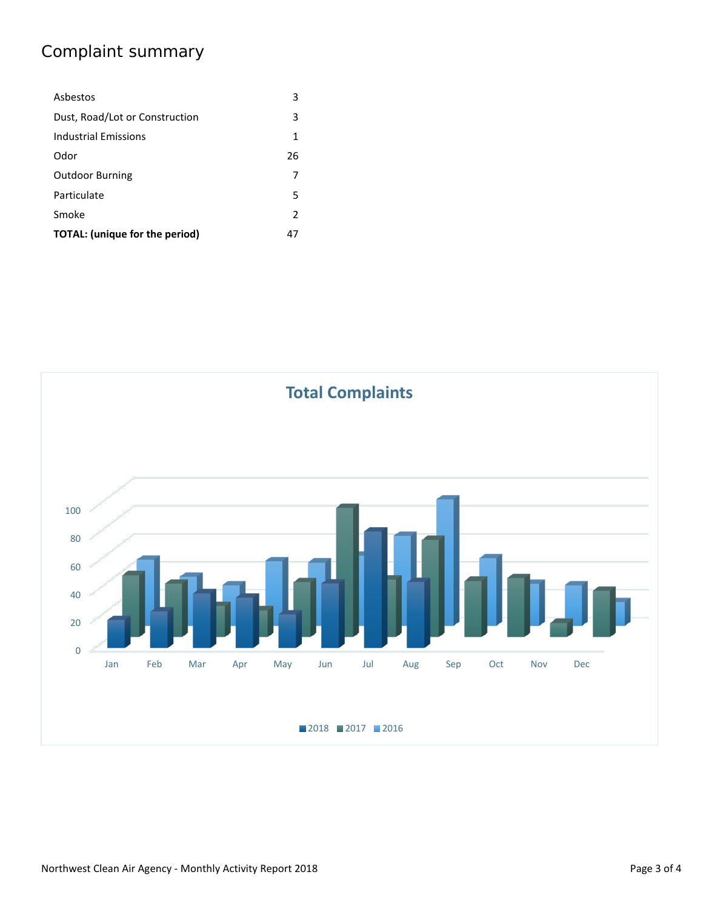## Complaint summary

| Asbestos                       | 3             |
|--------------------------------|---------------|
| Dust, Road/Lot or Construction | 3             |
| Industrial Emissions           | 1             |
| Odor                           | 26            |
| <b>Outdoor Burning</b>         | 7             |
| Particulate                    | 5             |
| Smoke                          | $\mathcal{P}$ |
| TOTAL: (unique for the period) | 47            |